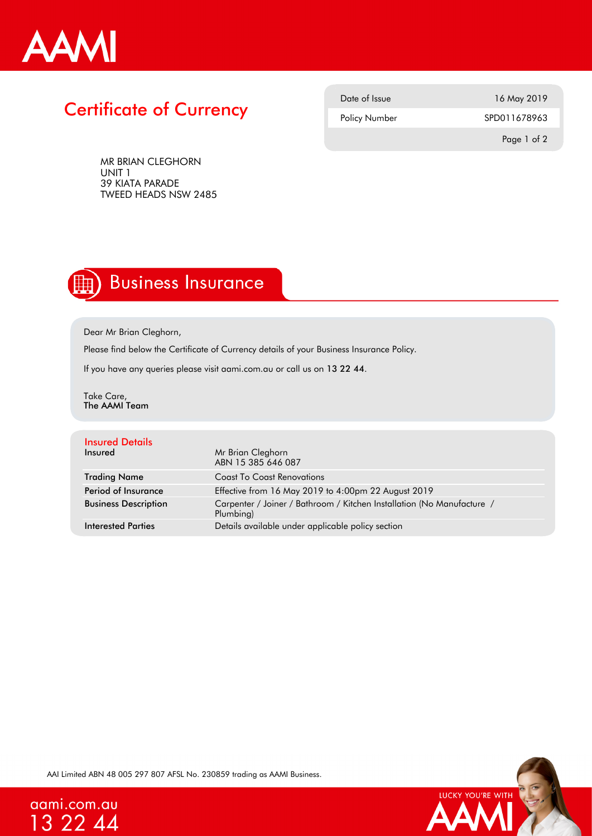

## Certificate of Currency

| Date of Issue | 16 May 2019  |
|---------------|--------------|
| Policy Number | SPD011678963 |
|               |              |

MR BRIAN CLEGHORN UNIT 1 39 KIATA PARADE TWEED HEADS NSW 2485 Page 1 of 2

## **Business Insurance**

Dear Mr Brian Cleghorn,

Please find below the Certificate of Currency details of your Business Insurance Policy.

If you have any queries please visit aami.com.au or call us on 13 22 44.

Take Care, The AAMI Team

| <b>Insured Details</b><br>Insured | Mr Brian Cleghorn<br>ABN 15 385 646 087                                             |
|-----------------------------------|-------------------------------------------------------------------------------------|
| <b>Trading Name</b>               | <b>Coast To Coast Renovations</b>                                                   |
| Period of Insurance               | Effective from 16 May 2019 to 4:00pm 22 August 2019                                 |
| <b>Business Description</b>       | Carpenter / Joiner / Bathroom / Kitchen Installation (No Manufacture /<br>Plumbing) |
| <b>Interested Parties</b>         | Details available under applicable policy section                                   |